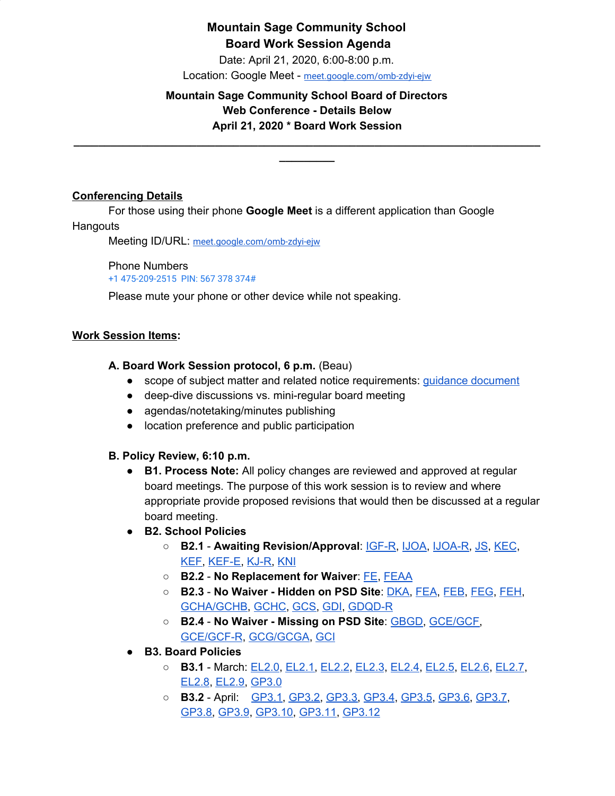## **Mountain Sage Community School Board Work Session Agenda**

Date: April 21, 2020, 6:00-8:00 p.m.

Location: Google Meet - [meet.google.com/omb-zdyi-ejw](https://meet.google.com/omb-zdyi-ejw)

### **Mountain Sage Community School Board of Directors Web Conference - Details Below April 21, 2020 \* Board Work Session**

**\_\_\_\_\_\_\_\_\_\_\_\_\_\_\_\_\_\_\_\_\_\_\_\_\_\_\_\_\_\_\_\_\_\_\_\_\_\_\_\_\_\_\_\_\_\_\_\_\_\_\_\_\_\_\_\_\_\_\_\_\_\_\_\_\_\_\_\_\_\_\_\_\_\_\_\_ \_\_\_\_\_\_\_\_\_**

#### **Conferencing Details**

For those using their phone **Google Meet** is a different application than Google **Hangouts** 

Meeting ID/URL: [meet.google.com/omb-zdyi-ejw](https://meet.google.com/omb-zdyi-ejw)

Phone Numbers +1 475-209-2515 PIN: 567 378 374#

Please mute your phone or other device while not speaking.

#### **Work Session Items:**

#### **A. Board Work Session protocol, 6 p.m.** (Beau)

- scope of subject matter and related notice requirements: guidance [document](http://www.cde.state.co.us/sites/default/files/documents/cdechart/guidebook/gov/pdf/openmtgsrecordsmemo.pdf)
- deep-dive discussions vs. mini-regular board meeting
- agendas/notetaking/minutes publishing
- location preference and public participation

#### **B. Policy Review, 6:10 p.m.**

- **B1. Process Note:** All policy changes are reviewed and approved at regular board meetings. The purpose of this work session is to review and where appropriate provide proposed revisions that would then be discussed at a regular board meeting.
- **B2. School Policies**
	- **B2.1 Awaiting Revision/Approval**: [IGF-R](https://drive.google.com/open?id=1miaI655qSVx0mkoge_Ogf0wfQe_WHysQOHWy3E8vP_4), [IJOA,](https://drive.google.com/open?id=127iMJeasFSKC9cgptf53Po-Lt65l7qPxlFaFTCDx8Bc) [IJOA-R](https://drive.google.com/open?id=10D8cL9gSGsZ4qw0McfOHYMYGB72Y2tjHtReRjqjzPfw), [JS,](https://docs.google.com/document/d/1rf5GBWs-YOgZhMLOzJxPMH3JRSSvb52K1Sytz0KNBiU) [KEC](https://drive.google.com/open?id=108m23bf4wN-nGySmWFhaqPyzr6OifhWuoCBYjYqfRoE), [KEF,](https://drive.google.com/open?id=1PkGD_XBOAP-jL2JqiAmeD62EL9Bty99a5dJvoddx_ho) [KEF-E,](https://drive.google.com/open?id=1gyWLSVji-NgBz--ucR7Yg7-mEroi6UyBq1-j4_SS3as) [KJ-R,](https://docs.google.com/document/d/1Y4ZRTfhnfaBxuilXfk0sCEiIzcjzBLQFw72AJVi7ZmQ) [KNI](https://docs.google.com/document/d/1rrMUzUfDGI0urku5BPvbq7C2gQcqiCc1amoL704cYjM)
	- **B2.2 No Replacement for Waiver**: [FE](https://www.psdschools.org/sites/default/files/PSD/policies/FE.pdf), [FEAA](https://www.psdschools.org/sites/default/files/PSD/policies/FEAA.pdf)
	- **B2.3 No Waiver - Hidden on PSD Site**: [DKA,](https://docs.google.com/document/d/18MPwsjlPQ_rYjNQ2Yf59j4ukLBxalenY6kaaguDpwJE) [FEA](https://docs.google.com/document/d/1BWQWCyUn1LxwknXypc69WFyVxJ1piXju4kMvW-dwy1A), [FEB,](https://docs.google.com/document/d/1BWQWCyUn1LxwknXypc69WFyVxJ1piXju4kMvW-dwy1A) [FEG](https://docs.google.com/document/d/16KsAgFybbQ34_MHxjsQUp8QXMuhMP0Hq1VwV2zTTDIc), [FEH,](https://docs.google.com/document/d/1z-DZJGivIvEx3R5OBiI3HKAe2djMkUwX92mxzw0ManE) [GCHA/GCHB,](https://docs.google.com/document/d/1qnhYkMq6WIXF7jVYxRwQGIleTw8zFDCz2gd9SQgo5u0) [GCHC](https://docs.google.com/document/d/1JJSUnQBcVOPwI79jC8wkjEnccQCYkAGPGhQJj6sRnJs), [GCS,](https://docs.google.com/document/d/1QNCxXH6OLVmzKttMIYUnHiRbfdmP-28QT6CWU-VHHJ4) [GDI](https://drive.google.com/open?id=1gsSu5rN3_gSVVKND8jBd4-EK57cMqwZNvYnKPxAwmTY), [GDQD-R](https://drive.google.com/open?id=1Ra2EQqc65Kzq5fShbgQ_9QPbCUa1ZuIRyyN6kgEv4Ho)
	- **B2.4 No Waiver - Missing on PSD Site**: [GBGD,](https://docs.google.com/document/d/13z9RhZbpVJHkqVBzN2wqNUJPgBNnHS8pGtWSz3ZrlN4) [GCE/GCF,](https://docs.google.com/document/d/1yXr6r-Cyl3CJW4TiCv1w9YEmRX1Zo-D7QM9Tg-vXmH8) [GCE/GCF-R,](https://docs.google.com/document/d/1LGK4nnVYnkMU8iwGO4Rdg3-xeuHCZQQciB3Yg931EMI) [GCG/GCGA](https://docs.google.com/document/d/1JIJwsFADJBk7Nv1-p1QBIX6rQsshAndFVWWK3TDq88U), [GCI](https://docs.google.com/document/d/16N22B9d-MULecV_rXyGZwXU8GXHg9ukKQcX8pYL2kpo)
- **B3. Board Policies**
	- **B3.1** March: [EL2.0](https://docs.google.com/document/d/1c0o8Bnu1HYiTBbFgIwpmzyxhRvPehIWJNSWBV5DKs9g), [EL2.1,](https://docs.google.com/document/d/1w25gIwhGuojg0LtinVdvX2LcxLWfwRN4pTFPHZ3NNXc) [EL2.2](https://docs.google.com/document/d/1MaJBbBGpBoWaL7MoXpY0wSAT9GoCbewlcDQq-BFaU3Q), [EL2.3](https://docs.google.com/document/d/1GzmBOOp5v9S4NJmlkGL0iRVuHfhg_T72zoANrVKVbLg), [EL2.4,](https://docs.google.com/document/d/1QInt2oOSDx0py9EtUsP6-0-OEZQcStkMdYw-gwIO3dU) [EL2.5](https://docs.google.com/document/d/1nYs8TvRZiMJCIYsfBXl8_YG7hKr1aksmEDiekAFgNk8), [EL2.6,](https://docs.google.com/document/d/1oevLXsUA7soeB4_kwDFbjhBLkGQQPsNkIgzLJzFy3cU) [EL2.7](https://docs.google.com/document/d/1pri48vTezgmvyf6oLJZXObuZ68Wf_35LLqKNuTvSG2A), [EL2.8](https://docs.google.com/document/d/1CRy-bV8I9d_GuKcWhyaczopX8vJ8mZXot1zXBJNeNxo), [EL2.9,](https://docs.google.com/document/d/1GZEKYwkBDBPrMmiQ4Bl5rLYnctwF_E27ZKu9GYY7lYs) [GP3.0](https://docs.google.com/document/d/1rOOj0tNmvU3l9f7mPNuRgEMOeCeu7x5aFbV8KcULAJ0)
	- **B3.2** April: [GP3.1](https://docs.google.com/document/d/1NonFAZjQqrgk3QgqYytescPeinFAJlvsinSFU_gML5Q), [GP3.2,](https://docs.google.com/document/d/1hnkmTRt9MDSaMV_ZQoyMefFZinry9VycskNaaV3UnGE) [GP3.3,](https://docs.google.com/document/d/1rCNyuUn-oRMQUnt7UX3Ur8rkx1Y8x7-CkbfRWeG56kU) [GP3.4](https://docs.google.com/document/d/1S_NJ1Y2QkeIt_9twvGFgt8U5tNM_vUfzIgtN4Gj1ssY), [GP3.5](https://docs.google.com/document/d/1IIf1tHKXPf4ho9PP65iWjBb79Ln2vDhJquUAo8Co65A), [GP3.6,](https://docs.google.com/document/d/11NzhXxu-XWrxSQOlW5v21SskME9k9GRrxaxm508bP5I) [GP3.7](https://docs.google.com/document/d/1373qt1YXZKad8EZGuCRW_oa8Xcf6y9CN5zuFsCV0s18), [GP3.8,](https://docs.google.com/document/d/1jQ-h_nZxYr44jzisoAamCD-ZTlqzI_RwpOrxd1MbjgY) [GP3.9](https://docs.google.com/document/d/1i6NGBbxZjvcmJUjud0bdBKC2Fh_S0Oz7ohEMe_sz_Lk), [GP3.10,](https://docs.google.com/document/d/1SlF3cHVQfU9alRa-s9YSLYbjkR3MyXITu4wVCfhZyuU) [GP3.11](https://docs.google.com/document/d/1wBiDP8kqKlyJ4ohM3_tg5_pp2Uy8FXx9msG9Vqy2trM), [GP3.12](https://docs.google.com/document/d/1FKk24I8tv2ld-jByu-bRHCMGTVWX6s_CH8to5GXqHcM)